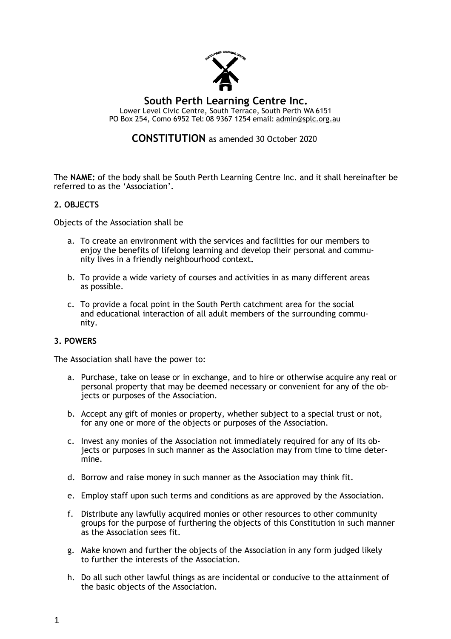

# **CONSTITUTION** as amended 30 October 2020

The **NAME:** of the body shall be South Perth Learning Centre Inc. and it shall hereinafter be referred to as the 'Association'.

# **2. OBJECTS**

Objects of the Association shall be

- a. To create an environment with the services and facilities for our members to enjoy the benefits of lifelong learning and develop their personal and community lives in a friendly neighbourhood context**.**
- b. To provide a wide variety of courses and activities in as many different areas as possible.
- c. To provide a focal point in the South Perth catchment area for the social and educational interaction of all adult members of the surrounding community.

# **3. POWERS**

The Association shall have the power to:

- a. Purchase, take on lease or in exchange, and to hire or otherwise acquire any real or personal property that may be deemed necessary or convenient for any of the objects or purposes of the Association.
- b. Accept any gift of monies or property, whether subject to a special trust or not, for any one or more of the objects or purposes of the Association.
- c. Invest any monies of the Association not immediately required for any of its objects or purposes in such manner as the Association may from time to time determine.
- d. Borrow and raise money in such manner as the Association may think fit.
- e. Employ staff upon such terms and conditions as are approved by the Association.
- f. Distribute any lawfully acquired monies or other resources to other community groups for the purpose of furthering the objects of this Constitution in such manner as the Association sees fit.
- g. Make known and further the objects of the Association in any form judged likely to further the interests of the Association.
- h. Do all such other lawful things as are incidental or conducive to the attainment of the basic objects of the Association.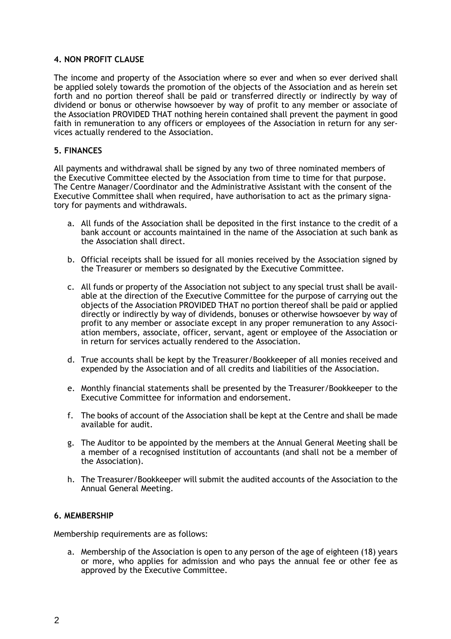#### **4. NON PROFIT CLAUSE**

The income and property of the Association where so ever and when so ever derived shall be applied solely towards the promotion of the objects of the Association and as herein set forth and no portion thereof shall be paid or transferred directly or indirectly by way of dividend or bonus or otherwise howsoever by way of profit to any member or associate of the Association PROVIDED THAT nothing herein contained shall prevent the payment in good faith in remuneration to any officers or employees of the Association in return for any services actually rendered to the Association.

#### **5. FINANCES**

All payments and withdrawal shall be signed by any two of three nominated members of the Executive Committee elected by the Association from time to time for that purpose. The Centre Manager/Coordinator and the Administrative Assistant with the consent of the Executive Committee shall when required, have authorisation to act as the primary signatory for payments and withdrawals.

- a. All funds of the Association shall be deposited in the first instance to the credit of a bank account or accounts maintained in the name of the Association at such bank as the Association shall direct.
- b. Official receipts shall be issued for all monies received by the Association signed by the Treasurer or members so designated by the Executive Committee.
- c. All funds or property of the Association not subject to any special trust shall be available at the direction of the Executive Committee for the purpose of carrying out the objects of the Association PROVIDED THAT no portion thereof shall be paid or applied directly or indirectly by way of dividends, bonuses or otherwise howsoever by way of profit to any member or associate except in any proper remuneration to any Association members, associate, officer, servant, agent or employee of the Association or in return for services actually rendered to the Association.
- d. True accounts shall be kept by the Treasurer/Bookkeeper of all monies received and expended by the Association and of all credits and liabilities of the Association.
- e. Monthly financial statements shall be presented by the Treasurer/Bookkeeper to the Executive Committee for information and endorsement.
- f. The books of account of the Association shall be kept at the Centre and shall be made available for audit.
- g. The Auditor to be appointed by the members at the Annual General Meeting shall be a member of a recognised institution of accountants (and shall not be a member of the Association).
- h. The Treasurer/Bookkeeper will submit the audited accounts of the Association to the Annual General Meeting.

#### **6. MEMBERSHIP**

Membership requirements are as follows:

a. Membership of the Association is open to any person of the age of eighteen (18) years or more, who applies for admission and who pays the annual fee or other fee as approved by the Executive Committee.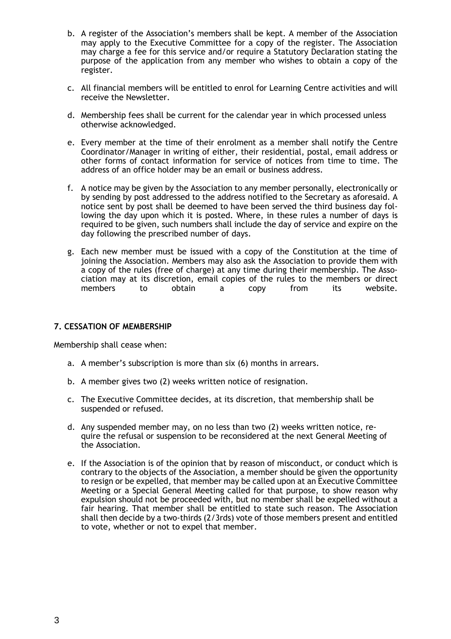- b. A register of the Association's members shall be kept. A member of the Association may apply to the Executive Committee for a copy of the register. The Association may charge a fee for this service and/or require a Statutory Declaration stating the purpose of the application from any member who wishes to obtain a copy of the register.
- c. All financial members will be entitled to enrol for Learning Centre activities and will receive the Newsletter.
- d. Membership fees shall be current for the calendar year in which processed unless otherwise acknowledged.
- e. Every member at the time of their enrolment as a member shall notify the Centre Coordinator/Manager in writing of either, their residential, postal, email address or other forms of contact information for service of notices from time to time. The address of an office holder may be an email or business address.
- f. A notice may be given by the Association to any member personally, electronically or by sending by post addressed to the address notified to the Secretary as aforesaid. A notice sent by post shall be deemed to have been served the third business day following the day upon which it is posted. Where, in these rules a number of days is required to be given, such numbers shall include the day of service and expire on the day following the prescribed number of days.
- g. Each new member must be issued with a copy of the Constitution at the time of joining the Association. Members may also ask the Association to provide them with a copy of the rules (free of charge) at any time during their membership. The Association may at its discretion, email copies of the rules to the members or direct members to obtain a copy from its website.

# **7. CESSATION OF MEMBERSHIP**

Membership shall cease when:

- a. A member's subscription is more than six (6) months in arrears.
- b. A member gives two (2) weeks written notice of resignation.
- c. The Executive Committee decides, at its discretion, that membership shall be suspended or refused.
- d. Any suspended member may, on no less than two (2) weeks written notice, require the refusal or suspension to be reconsidered at the next General Meeting of the Association.
- e. If the Association is of the opinion that by reason of misconduct, or conduct which is contrary to the objects of the Association, a member should be given the opportunity to resign or be expelled, that member may be called upon at an Executive Committee Meeting or a Special General Meeting called for that purpose, to show reason why expulsion should not be proceeded with, but no member shall be expelled without a fair hearing. That member shall be entitled to state such reason. The Association shall then decide by a two-thirds (2/3rds) vote of those members present and entitled to vote, whether or not to expel that member.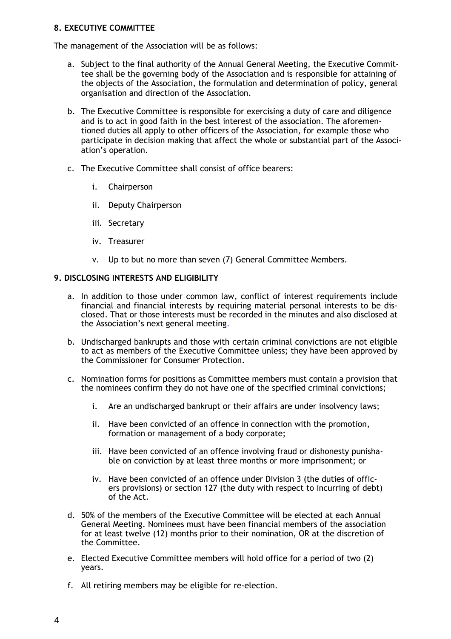# **8. EXECUTIVE COMMITTEE**

The management of the Association will be as follows:

- a. Subject to the final authority of the Annual General Meeting, the Executive Committee shall be the governing body of the Association and is responsible for attaining of the objects of the Association, the formulation and determination of policy, general organisation and direction of the Association.
- b. The Executive Committee is responsible for exercising a duty of care and diligence and is to act in good faith in the best interest of the association. The aforementioned duties all apply to other officers of the Association, for example those who participate in decision making that affect the whole or substantial part of the Association's operation.
- c. The Executive Committee shall consist of office bearers:
	- i. Chairperson
	- ii. Deputy Chairperson
	- iii. Secretary
	- iv. Treasurer
	- v. Up to but no more than seven (7) General Committee Members.

# **9. DISCLOSING INTERESTS AND ELIGIBILITY**

- a. In addition to those under common law, conflict of interest requirements include financial and financial interests by requiring material personal interests to be disclosed. That or those interests must be recorded in the minutes and also disclosed at the Association's next general meeting.
- b. Undischarged bankrupts and those with certain criminal convictions are not eligible to act as members of the Executive Committee unless; they have been approved by the Commissioner for Consumer Protection.
- c. Nomination forms for positions as Committee members must contain a provision that the nominees confirm they do not have one of the specified criminal convictions;
	- i. Are an undischarged bankrupt or their affairs are under insolvency laws;
	- ii. Have been convicted of an offence in connection with the promotion, formation or management of a body corporate;
	- iii. Have been convicted of an offence involving fraud or dishonesty punishable on conviction by at least three months or more imprisonment; or
	- iv. Have been convicted of an offence under Division 3 (the duties of officers provisions) or section 127 (the duty with respect to incurring of debt) of the Act.
- d. 50% of the members of the Executive Committee will be elected at each Annual General Meeting. Nominees must have been financial members of the association for at least twelve (12) months prior to their nomination, OR at the discretion of the Committee.
- e. Elected Executive Committee members will hold office for a period of two (2) years.
- f. All retiring members may be eligible for re-election.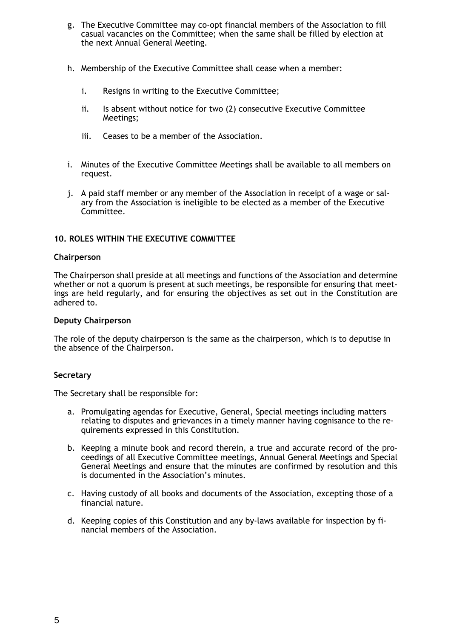- g. The Executive Committee may co-opt financial members of the Association to fill casual vacancies on the Committee; when the same shall be filled by election at the next Annual General Meeting.
- h. Membership of the Executive Committee shall cease when a member:
	- i. Resigns in writing to the Executive Committee;
	- ii. Is absent without notice for two (2) consecutive Executive Committee Meetings;
	- iii. Ceases to be a member of the Association.
- i. Minutes of the Executive Committee Meetings shall be available to all members on request.
- j. A paid staff member or any member of the Association in receipt of a wage or salary from the Association is ineligible to be elected as a member of the Executive Committee.

# **10. ROLES WITHIN THE EXECUTIVE COMMITTEE**

#### **Chairperson**

The Chairperson shall preside at all meetings and functions of the Association and determine whether or not a quorum is present at such meetings, be responsible for ensuring that meetings are held regularly, and for ensuring the objectives as set out in the Constitution are adhered to.

#### **Deputy Chairperson**

The role of the deputy chairperson is the same as the chairperson, which is to deputise in the absence of the Chairperson.

#### **Secretary**

The Secretary shall be responsible for:

- a. Promulgating agendas for Executive, General, Special meetings including matters relating to disputes and grievances in a timely manner having cognisance to the requirements expressed in this Constitution.
- b. Keeping a minute book and record therein, a true and accurate record of the proceedings of all Executive Committee meetings, Annual General Meetings and Special General Meetings and ensure that the minutes are confirmed by resolution and this is documented in the Association's minutes.
- c. Having custody of all books and documents of the Association, excepting those of a financial nature.
- d. Keeping copies of this Constitution and any by-laws available for inspection by financial members of the Association.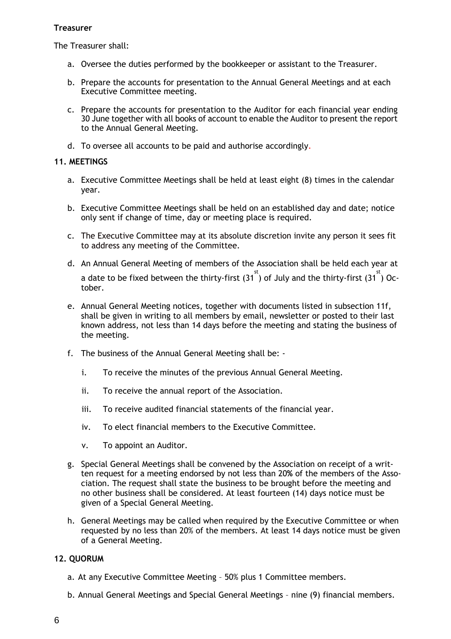# **Treasurer**

The Treasurer shall:

- a. Oversee the duties performed by the bookkeeper or assistant to the Treasurer.
- b. Prepare the accounts for presentation to the Annual General Meetings and at each Executive Committee meeting.
- c. Prepare the accounts for presentation to the Auditor for each financial year ending 30 June together with all books of account to enable the Auditor to present the report to the Annual General Meeting.
- d. To oversee all accounts to be paid and authorise accordingly.

# **11. MEETINGS**

- a. Executive Committee Meetings shall be held at least eight (8) times in the calendar year.
- b. Executive Committee Meetings shall be held on an established day and date; notice only sent if change of time, day or meeting place is required.
- c. The Executive Committee may at its absolute discretion invite any person it sees fit to address any meeting of the Committee.
- d. An Annual General Meeting of members of the Association shall be held each year at a date to be fixed between the thirty-first  $(31^{st})$  of July and the thirty-first  $(31^{st})$  October.
- e. Annual General Meeting notices, together with documents listed in subsection 11f, shall be given in writing to all members by email, newsletter or posted to their last known address, not less than 14 days before the meeting and stating the business of the meeting.
- f. The business of the Annual General Meeting shall be:
	- i. To receive the minutes of the previous Annual General Meeting.
	- ii. To receive the annual report of the Association.
	- iii. To receive audited financial statements of the financial year.
	- iv. To elect financial members to the Executive Committee.
	- v. To appoint an Auditor.
- g. Special General Meetings shall be convened by the Association on receipt of a written request for a meeting endorsed by not less than 20**%** of the members of the Association. The request shall state the business to be brought before the meeting and no other business shall be considered. At least fourteen (14) days notice must be given of a Special General Meeting.
- h. General Meetings may be called when required by the Executive Committee or when requested by no less than 20% of the members. At least 14 days notice must be given of a General Meeting.

# **12. QUORUM**

- a. At any Executive Committee Meeting 50% plus 1 Committee members.
- b. Annual General Meetings and Special General Meetings nine (9) financial members.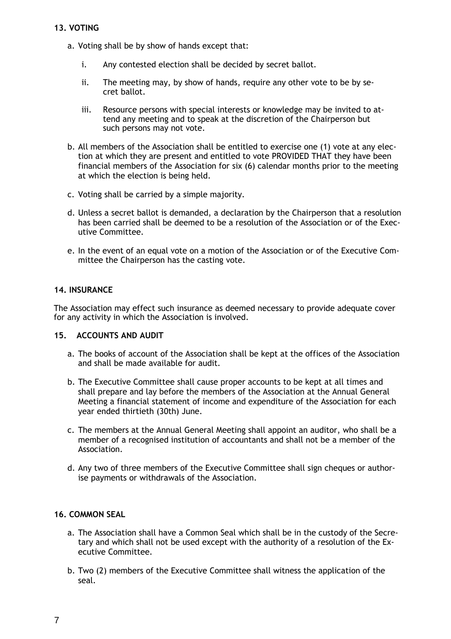# **13. VOTING**

- a. Voting shall be by show of hands except that:
	- i. Any contested election shall be decided by secret ballot.
	- ii. The meeting may, by show of hands, require any other vote to be by secret ballot.
	- iii. Resource persons with special interests or knowledge may be invited to attend any meeting and to speak at the discretion of the Chairperson but such persons may not vote.
- b. All members of the Association shall be entitled to exercise one (1) vote at any election at which they are present and entitled to vote PROVIDED THAT they have been financial members of the Association for six (6) calendar months prior to the meeting at which the election is being held.
- c. Voting shall be carried by a simple majority.
- d. Unless a secret ballot is demanded, a declaration by the Chairperson that a resolution has been carried shall be deemed to be a resolution of the Association or of the Executive Committee.
- e. In the event of an equal vote on a motion of the Association or of the Executive Committee the Chairperson has the casting vote.

# **14. INSURANCE**

The Association may effect such insurance as deemed necessary to provide adequate cover for any activity in which the Association is involved.

#### **15. ACCOUNTS AND AUDIT**

- a. The books of account of the Association shall be kept at the offices of the Association and shall be made available for audit.
- b. The Executive Committee shall cause proper accounts to be kept at all times and shall prepare and lay before the members of the Association at the Annual General Meeting a financial statement of income and expenditure of the Association for each year ended thirtieth (30th) June.
- c. The members at the Annual General Meeting shall appoint an auditor, who shall be a member of a recognised institution of accountants and shall not be a member of the Association.
- d. Any two of three members of the Executive Committee shall sign cheques or authorise payments or withdrawals of the Association.

# **16. COMMON SEAL**

- a. The Association shall have a Common Seal which shall be in the custody of the Secretary and which shall not be used except with the authority of a resolution of the Executive Committee.
- b. Two (2) members of the Executive Committee shall witness the application of the seal.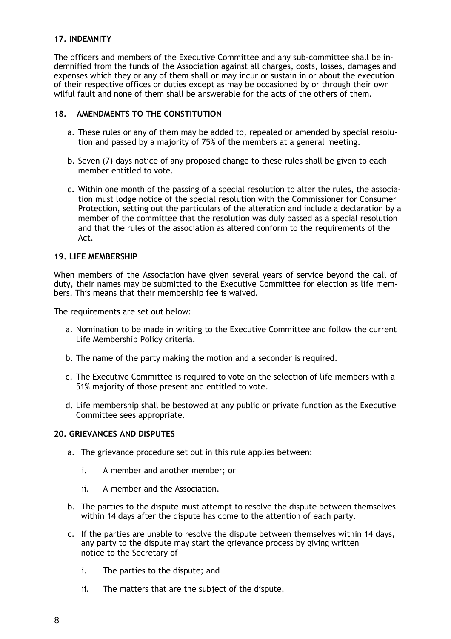# **17. INDEMNITY**

The officers and members of the Executive Committee and any sub-committee shall be indemnified from the funds of the Association against all charges, costs, losses, damages and expenses which they or any of them shall or may incur or sustain in or about the execution of their respective offices or duties except as may be occasioned by or through their own wilful fault and none of them shall be answerable for the acts of the others of them.

# **18. AMENDMENTS TO THE CONSTITUTION**

- a. These rules or any of them may be added to, repealed or amended by special resolution and passed by a majority of 75% of the members at a general meeting.
- b. Seven (7) days notice of any proposed change to these rules shall be given to each member entitled to vote.
- c. Within one month of the passing of a special resolution to alter the rules, the association must lodge notice of the special resolution with the Commissioner for Consumer Protection, setting out the particulars of the alteration and include a declaration by a member of the committee that the resolution was duly passed as a special resolution and that the rules of the association as altered conform to the requirements of the Act.

# **19. LIFE MEMBERSHIP**

When members of the Association have given several years of service beyond the call of duty, their names may be submitted to the Executive Committee for election as life members. This means that their membership fee is waived.

The requirements are set out below:

- a. Nomination to be made in writing to the Executive Committee and follow the current Life Membership Policy criteria.
- b. The name of the party making the motion and a seconder is required.
- c. The Executive Committee is required to vote on the selection of life members with a 51% majority of those present and entitled to vote.
- d. Life membership shall be bestowed at any public or private function as the Executive Committee sees appropriate.

# **20. GRIEVANCES AND DISPUTES**

- a. The grievance procedure set out in this rule applies between:
	- i. A member and another member; or
	- ii. A member and the Association.
- b. The parties to the dispute must attempt to resolve the dispute between themselves within 14 days after the dispute has come to the attention of each party.
- c. If the parties are unable to resolve the dispute between themselves within 14 days, any party to the dispute may start the grievance process by giving written notice to the Secretary of –
	- i. The parties to the dispute; and
	- ii. The matters that are the subject of the dispute.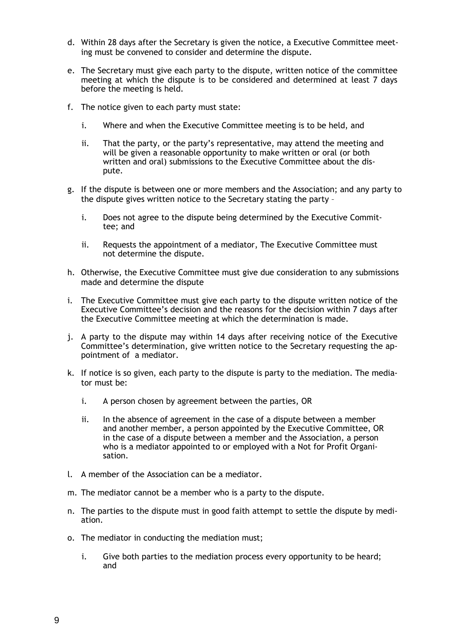- d. Within 28 days after the Secretary is given the notice, a Executive Committee meeting must be convened to consider and determine the dispute.
- e. The Secretary must give each party to the dispute, written notice of the committee meeting at which the dispute is to be considered and determined at least 7 days before the meeting is held.
- f. The notice given to each party must state:
	- i. Where and when the Executive Committee meeting is to be held, and
	- ii. That the party, or the party's representative, may attend the meeting and will be given a reasonable opportunity to make written or oral (or both written and oral) submissions to the Executive Committee about the dispute.
- g. If the dispute is between one or more members and the Association; and any party to the dispute gives written notice to the Secretary stating the party –
	- i. Does not agree to the dispute being determined by the Executive Committee; and
	- ii. Requests the appointment of a mediator, The Executive Committee must not determine the dispute.
- h. Otherwise, the Executive Committee must give due consideration to any submissions made and determine the dispute
- i. The Executive Committee must give each party to the dispute written notice of the Executive Committee's decision and the reasons for the decision within 7 days after the Executive Committee meeting at which the determination is made.
- j. A party to the dispute may within 14 days after receiving notice of the Executive Committee's determination, give written notice to the Secretary requesting the appointment of a mediator.
- k. If notice is so given, each party to the dispute is party to the mediation. The mediator must be:
	- i. A person chosen by agreement between the parties, OR
	- ii. In the absence of agreement in the case of a dispute between a member and another member, a person appointed by the Executive Committee, OR in the case of a dispute between a member and the Association, a person who is a mediator appointed to or employed with a Not for Profit Organisation.
- l. A member of the Association can be a mediator.
- m. The mediator cannot be a member who is a party to the dispute.
- n. The parties to the dispute must in good faith attempt to settle the dispute by mediation.
- o. The mediator in conducting the mediation must;
	- i. Give both parties to the mediation process every opportunity to be heard; and